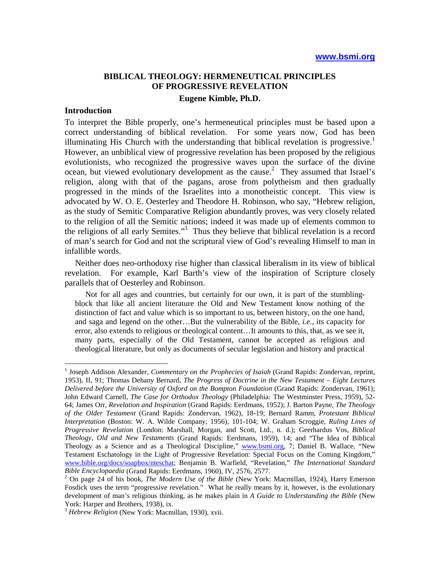# **BIBLICAL THEOLOGY: HERMENEUTICAL PRINCIPLES OF PROGRESSIVE REVELATION Eugene Kimble, Ph.D.**

## **Introduction**

 $\overline{a}$ 

To interpret the Bible properly, one's hermeneutical principles must be based upon a correct understanding of biblical revelation. For some years now, God has been illuminating His Church with the understanding that biblical revelation is progressive.<sup>1</sup> However, an unbiblical view of progressive revelation has been proposed by the religious evolutionists, who recognized the progressive waves upon the surface of the divine ocean, but viewed evolutionary development as the cause.<sup>2</sup> They assumed that Israel's religion, along with that of the pagans, arose from polytheism and then gradually progressed in the minds of the Israelites into a monotheistic concept. This view is advocated by W. O. E. Oesterley and Theodore H. Robinson, who say, "Hebrew religion, as the study of Semitic Comparative Religion abundantly proves, was very closely related to the religion of all the Semitic nations; indeed it was made up of elements common to the religions of all early Semites."<sup>3</sup> Thus they believe that biblical revelation is a record of man's search for God and not the scriptural view of God's revealing Himself to man in infallible words.

Neither does neo-orthodoxy rise higher than classical liberalism in its view of biblical revelation. For example, Karl Barth's view of the inspiration of Scripture closely parallels that of Oesterley and Robinson.

Not for all ages and countries, but certainly for our own, it is part of the stumblingblock that like all ancient literature the Old and New Testament know nothing of the distinction of fact and value which is so important to us, between history, on the one hand, and saga and legend on the other…But the vulnerability of the Bible, *i.e.*, its capacity for error, also extends to religious or theological content…It amounts to this, that, as we see it, many parts, especially of the Old Testament, cannot be accepted as religious and theological literature, but only as documents of secular legislation and history and practical

<sup>&</sup>lt;sup>1</sup> Joseph Addison Alexander, *Commentary on the Prophecies of Isaiah* (Grand Rapids: Zondervan, reprint, 1953), II, 91; Thomas Dehany Bernard, *The Progress of Doctrine in the New Testament – Eight Lectures Delivered before the University of Oxford on the Bompton Foundation* (Grand Rapids: Zondervan, 1961); John Edward Carnell, *The Case for Orthodox Theology* (Philadelphia: The Westminster Press, 1959), 52- 64; James Orr, *Revelation and Inspiration* (Grand Rapids: Eerdmans, 1952); J. Barton Payne, *The Theology of the Older Testament* (Grand Rapids: Zondervan, 1962), 18-19; Bernard Ramm, *Protestant Biblical Interpretation* (Boston: W. A. Wilde Company, 1956), 101-104; W. Graham Scroggie, *Ruling Lines of Progressive Revelation* (London: Marshall, Morgan, and Scott, Ltd., n. d.); Geerhardus Vos, *Biblical Theology, Old and New Testaments* (Grand Rapids: Eerdmans, 1959), 14; and "The Idea of Biblical Theology as a Science and as a Theological Discipline," www.bsmi.org, 7; Daniel B. Wallace, "New Testament Eschatology in the Light of Progressive Revelation: Special Focus on the Coming Kingdom," www.bible.org/docs/soapbox/nteschat; Benjamin B. Warfield, "Revelation," *The International Standard Bible Encyclopaedia* (Grand Rapids: Eerdmans, 1960), IV, 2576, 2577. 2

On page 24 of his book, *The Modern Use of the Bible* (New York: Macmillan, 1924), Harry Emerson Fosdick uses the term "progressive revelation." What he really means by it, however, is the evolutionary development of man's religious thinking, as he makes plain in *A Guide to Understanding the Bible* (New York: Harper and Brothers, 1938), ix.

<sup>3</sup> *Hebrew Religion* (New York: Macmillan, 1930), xvii.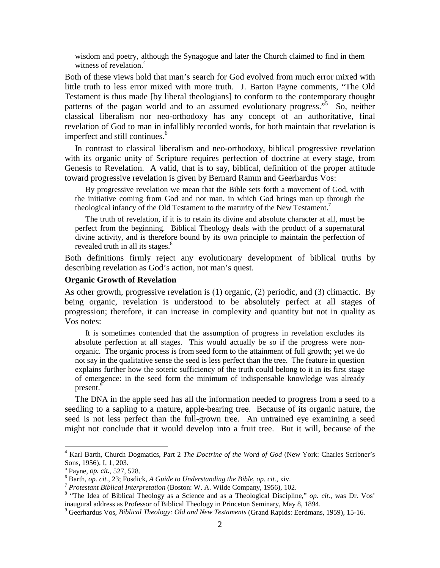wisdom and poetry, although the Synagogue and later the Church claimed to find in them witness of revelation.<sup>4</sup>

Both of these views hold that man's search for God evolved from much error mixed with little truth to less error mixed with more truth. J. Barton Payne comments, "The Old Testament is thus made [by liberal theologians] to conform to the contemporary thought patterns of the pagan world and to an assumed evolutionary progress."<sup>5</sup> So, neither classical liberalism nor neo-orthodoxy has any concept of an authoritative, final revelation of God to man in infallibly recorded words, for both maintain that revelation is imperfect and still continues.<sup>6</sup>

In contrast to classical liberalism and neo-orthodoxy, biblical progressive revelation with its organic unity of Scripture requires perfection of doctrine at every stage, from Genesis to Revelation. A valid, that is to say, biblical, definition of the proper attitude toward progressive revelation is given by Bernard Ramm and Geerhardus Vos:

By progressive revelation we mean that the Bible sets forth a movement of God, with the initiative coming from God and not man, in which God brings man up through the theological infancy of the Old Testament to the maturity of the New Testament.<sup>7</sup>

The truth of revelation, if it is to retain its divine and absolute character at all, must be perfect from the beginning. Biblical Theology deals with the product of a supernatural divine activity, and is therefore bound by its own principle to maintain the perfection of revealed truth in all its stages.<sup>8</sup>

Both definitions firmly reject any evolutionary development of biblical truths by describing revelation as God's action, not man's quest.

#### **Organic Growth of Revelation**

As other growth, progressive revelation is (1) organic, (2) periodic, and (3) climactic. By being organic, revelation is understood to be absolutely perfect at all stages of progression; therefore, it can increase in complexity and quantity but not in quality as Vos notes:

It is sometimes contended that the assumption of progress in revelation excludes its absolute perfection at all stages. This would actually be so if the progress were nonorganic. The organic process is from seed form to the attainment of full growth; yet we do not say in the qualitative sense the seed is less perfect than the tree. The feature in question explains further how the soteric sufficiency of the truth could belong to it in its first stage of emergence: in the seed form the minimum of indispensable knowledge was already present.<sup>9</sup>

The DNA in the apple seed has all the information needed to progress from a seed to a seedling to a sapling to a mature, apple-bearing tree. Because of its organic nature, the seed is not less perfect than the full-grown tree. An untrained eye examining a seed might not conclude that it would develop into a fruit tree. But it will, because of the

<sup>4</sup> Karl Barth, Church Dogmatics, Part 2 *The Doctrine of the Word of God* (New York: Charles Scribner's Sons, 1956), I, 1, 203.

 $^5$  Payne, *op. cit.*, 527, 528.

<sup>&</sup>lt;sup>6</sup> Barth, *op. cit.*, 23; Fosdick, *A Guide to Understanding the Bible, op. cit.*, xiv.<br><sup>7</sup> *Protestant Biblical Interpretation* (Boston: W. A. Wilde Company, 1956), 102.

<sup>&</sup>lt;sup>8</sup> "The Idea of Biblical Theology as a Science and as a Theological Discipline," *op. cit.*, was Dr. Vos' inaugural address as Professor of Biblical Theology in Princeton Seminary, May 8, 1894.

Geerhardus Vos, *Biblical Theology: Old and New Testaments* (Grand Rapids: Eerdmans, 1959), 15-16.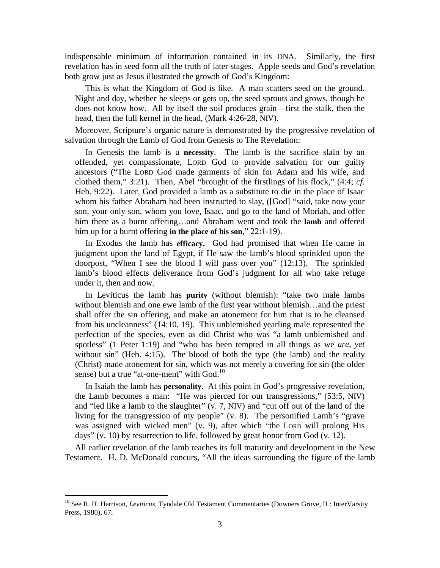indispensable minimum of information contained in its DNA. Similarly, the first revelation has in seed form all the truth of later stages. Apple seeds and God's revelation both grow just as Jesus illustrated the growth of God's Kingdom:

This is what the Kingdom of God is like. A man scatters seed on the ground. Night and day, whether he sleeps or gets up, the seed sprouts and grows, though he does not know how. All by itself the soil produces grain—first the stalk, then the head, then the full kernel in the head, (Mark 4:26-28, NIV).

Moreover, Scripture's organic nature is demonstrated by the progressive revelation of salvation through the Lamb of God from Genesis to The Revelation:

In Genesis the lamb is a **necessity**. The lamb is the sacrifice slain by an offended, yet compassionate, LORD God to provide salvation for our guilty ancestors ("The LORD God made garments of skin for Adam and his wife, and clothed them," 3:21). Then, Abel "brought of the firstlings of his flock," (4:4; *cf.* Heb. 9:22). Later, God provided a lamb as a substitute to die in the place of Isaac whom his father Abraham had been instructed to slay, ([God] "said, take now your son, your only son, whom you love, Isaac, and go to the land of Moriah, and offer him there as a burnt offering…and Abraham went and took the **lamb** and offered him up for a burnt offering **in the place of his son**," 22:1-19).

In Exodus the lamb has **efficacy.** God had promised that when He came in judgment upon the land of Egypt, if He saw the lamb's blood sprinkled upon the doorpost, "When I see the blood I will pass over you" (12:13). The sprinkled lamb's blood effects deliverance from God's judgment for all who take refuge under it, then and now.

In Leviticus the lamb has **purity** (without blemish): "take two male lambs without blemish and one ewe lamb of the first year without blemish...and the priest shall offer the sin offering, and make an atonement for him that is to be cleansed from his uncleanness" (14:10, 19). This unblemished yearling male represented the perfection of the species, even as did Christ who was "a lamb unblemished and spotless" (1 Peter 1:19) and "who has been tempted in all things as we *are, yet* without sin" (Heb. 4:15). The blood of both the type (the lamb) and the reality (Christ) made atonement for sin, which was not merely a covering for sin (the older sense) but a true "at-one-ment" with  $God.<sup>10</sup>$ 

In Isaiah the lamb has **personality.** At this point in God's progressive revelation, the Lamb becomes a man: "He was pierced for our transgressions," (53:5, NIV) and "led like a lamb to the slaughter" (v. 7, NIV) and "cut off out of the land of the living for the transgression of my people" (v. 8). The personified Lamb's "grave was assigned with wicked men" (v. 9), after which "the LORD will prolong His days" (v. 10) by resurrection to life, followed by great honor from God (v. 12).

All earlier revelation of the lamb reaches its full maturity and development in the New Testament. H. D. McDonald concurs, "All the ideas surrounding the figure of the lamb

<sup>10</sup> See R. H. Harrison, *Leviticus*, Tyndale Old Testament Commentaries (Downers Grove, IL: InterVarsity Press, 1980), 67.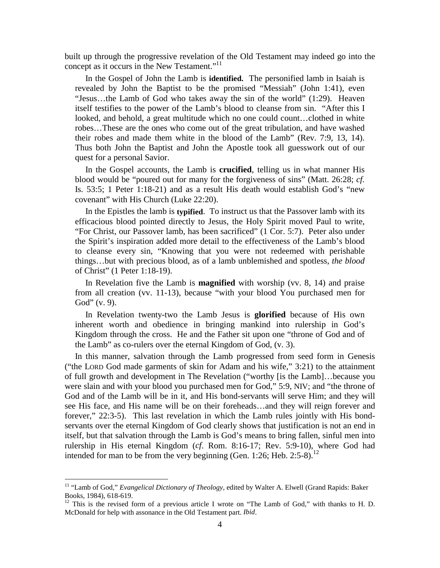built up through the progressive revelation of the Old Testament may indeed go into the concept as it occurs in the New Testament." $11$ 

In the Gospel of John the Lamb is **identified.** The personified lamb in Isaiah is revealed by John the Baptist to be the promised "Messiah" (John 1:41), even "Jesus…the Lamb of God who takes away the sin of the world" (1:29). Heaven itself testifies to the power of the Lamb's blood to cleanse from sin. "After this I looked, and behold, a great multitude which no one could count…clothed in white robes…These are the ones who come out of the great tribulation, and have washed their robes and made them white in the blood of the Lamb" (Rev. 7:9, 13, 14). Thus both John the Baptist and John the Apostle took all guesswork out of our quest for a personal Savior.

In the Gospel accounts, the Lamb is **crucified**, telling us in what manner His blood would be "poured out for many for the forgiveness of sins" (Matt. 26:28; *cf.* Is. 53:5; 1 Peter 1:18-21) and as a result His death would establish God's "new covenant" with His Church (Luke 22:20).

In the Epistles the lamb is **typified**. To instruct us that the Passover lamb with its efficacious blood pointed directly to Jesus, the Holy Spirit moved Paul to write, "For Christ, our Passover lamb, has been sacrificed" (1 Cor. 5:7). Peter also under the Spirit's inspiration added more detail to the effectiveness of the Lamb's blood to cleanse every sin, "Knowing that you were not redeemed with perishable things…but with precious blood, as of a lamb unblemished and spotless, *the blood* of Christ" (1 Peter 1:18-19).

In Revelation five the Lamb is **magnified** with worship (vv. 8, 14) and praise from all creation (vv. 11-13), because "with your blood You purchased men for God" (v. 9).

In Revelation twenty-two the Lamb Jesus is **glorified** because of His own inherent worth and obedience in bringing mankind into rulership in God's Kingdom through the cross. He and the Father sit upon one "throne of God and of the Lamb" as co-rulers over the eternal Kingdom of God, (v. 3).

In this manner, salvation through the Lamb progressed from seed form in Genesis ("the LORD God made garments of skin for Adam and his wife," 3:21) to the attainment of full growth and development in The Revelation ("worthy [is the Lamb]…because you were slain and with your blood you purchased men for God," 5:9, NIV; and "the throne of God and of the Lamb will be in it, and His bond-servants will serve Him; and they will see His face, and His name will be on their foreheads…and they will reign forever and forever," 22:3-5). This last revelation in which the Lamb rules jointly with His bondservants over the eternal Kingdom of God clearly shows that justification is not an end in itself, but that salvation through the Lamb is God's means to bring fallen, sinful men into rulership in His eternal Kingdom (*cf*. Rom. 8:16-17; Rev. 5:9-10), where God had intended for man to be from the very beginning (Gen. 1:26; Heb. 2:5-8).<sup>12</sup>

<sup>11 &</sup>quot;Lamb of God," *Evangelical Dictionary of Theology*, edited by Walter A. Elwell (Grand Rapids: Baker Books, 1984), 618-619.

<sup>&</sup>lt;sup>12</sup> This is the revised form of a previous article I wrote on "The Lamb of God," with thanks to H. D. McDonald for help with assonance in the Old Testament part. *Ibid*.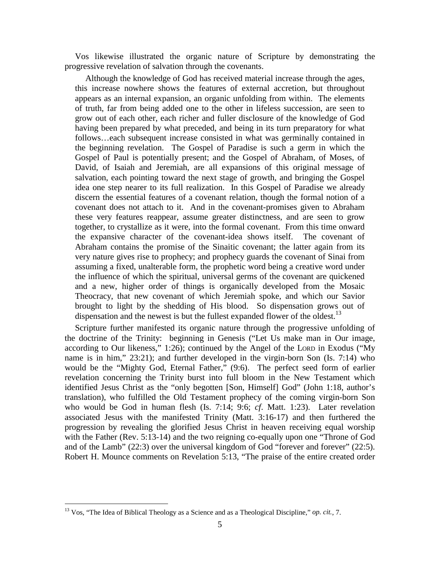Vos likewise illustrated the organic nature of Scripture by demonstrating the progressive revelation of salvation through the covenants.

Although the knowledge of God has received material increase through the ages, this increase nowhere shows the features of external accretion, but throughout appears as an internal expansion, an organic unfolding from within. The elements of truth, far from being added one to the other in lifeless succession, are seen to grow out of each other, each richer and fuller disclosure of the knowledge of God having been prepared by what preceded, and being in its turn preparatory for what follows…each subsequent increase consisted in what was germinally contained in the beginning revelation. The Gospel of Paradise is such a germ in which the Gospel of Paul is potentially present; and the Gospel of Abraham, of Moses, of David, of Isaiah and Jeremiah, are all expansions of this original message of salvation, each pointing toward the next stage of growth, and bringing the Gospel idea one step nearer to its full realization. In this Gospel of Paradise we already discern the essential features of a covenant relation, though the formal notion of a covenant does not attach to it. And in the covenant-promises given to Abraham these very features reappear, assume greater distinctness, and are seen to grow together, to crystallize as it were, into the formal covenant. From this time onward the expansive character of the covenant-idea shows itself. The covenant of Abraham contains the promise of the Sinaitic covenant; the latter again from its very nature gives rise to prophecy; and prophecy guards the covenant of Sinai from assuming a fixed, unalterable form, the prophetic word being a creative word under the influence of which the spiritual, universal germs of the covenant are quickened and a new, higher order of things is organically developed from the Mosaic Theocracy, that new covenant of which Jeremiah spoke, and which our Savior brought to light by the shedding of His blood. So dispensation grows out of dispensation and the newest is but the fullest expanded flower of the oldest.<sup>13</sup>

Scripture further manifested its organic nature through the progressive unfolding of the doctrine of the Trinity: beginning in Genesis ("Let Us make man in Our image, according to Our likeness," 1:26); continued by the Angel of the LORD in Exodus ("My name is in him," 23:21); and further developed in the virgin-born Son (Is. 7:14) who would be the "Mighty God, Eternal Father," (9:6). The perfect seed form of earlier revelation concerning the Trinity burst into full bloom in the New Testament which identified Jesus Christ as the "only begotten [Son, Himself] God" (John 1:18, author's translation), who fulfilled the Old Testament prophecy of the coming virgin-born Son who would be God in human flesh (Is. 7:14; 9:6; *cf*. Matt. 1:23). Later revelation associated Jesus with the manifested Trinity (Matt. 3:16-17) and then furthered the progression by revealing the glorified Jesus Christ in heaven receiving equal worship with the Father (Rev. 5:13-14) and the two reigning co-equally upon one "Throne of God and of the Lamb" (22:3) over the universal kingdom of God "forever and forever" (22:5). Robert H. Mounce comments on Revelation 5:13, "The praise of the entire created order

<sup>13</sup> Vos, "The Idea of Biblical Theology as a Science and as a Theological Discipline," *op. cit.*, 7.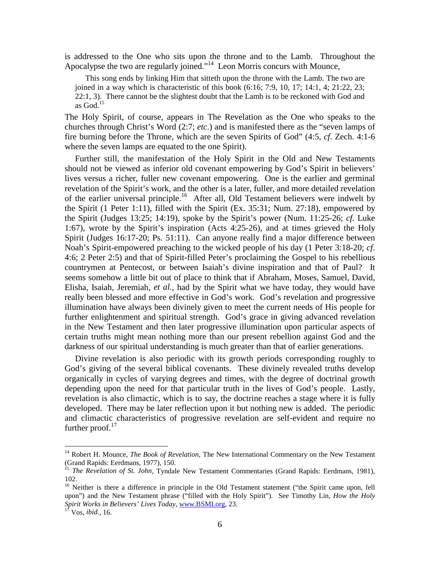is addressed to the One who sits upon the throne and to the Lamb. Throughout the Apocalypse the two are regularly joined."<sup>14</sup> Leon Morris concurs with Mounce,

This song ends by linking Him that sitteth upon the throne with the Lamb. The two are joined in a way which is characteristic of this book  $(6:16; 7:9, 10, 17; 14:1, 4; 21:22, 23;$ 22:1, 3). There cannot be the slightest doubt that the Lamb is to be reckoned with God and as  $God.<sup>15</sup>$ 

The Holy Spirit, of course, appears in The Revelation as the One who speaks to the churches through Christ's Word (2:7; *etc*.) and is manifested there as the "seven lamps of fire burning before the Throne, which are the seven Spirits of God" (4:5, *cf*. Zech. 4:1-6 where the seven lamps are equated to the one Spirit).

Further still, the manifestation of the Holy Spirit in the Old and New Testaments should not be viewed as inferior old covenant empowering by God's Spirit in believers' lives versus a richer, fuller new covenant empowering. One is the earlier and germinal revelation of the Spirit's work, and the other is a later, fuller, and more detailed revelation of the earlier universal principle.<sup>16</sup> After all, Old Testament believers were indwelt by the Spirit (1 Peter 1:11), filled with the Spirit (Ex. 35:31; Num. 27:18), empowered by the Spirit (Judges 13:25; 14:19), spoke by the Spirit's power (Num. 11:25-26; *cf*. Luke 1:67), wrote by the Spirit's inspiration (Acts 4:25-26), and at times grieved the Holy Spirit (Judges 16:17-20; Ps. 51:11). Can anyone really find a major difference between Noah's Spirit-empowered preaching to the wicked people of his day (1 Peter 3:18-20; *cf*. 4:6; 2 Peter 2:5) and that of Spirit-filled Peter's proclaiming the Gospel to his rebellious countrymen at Pentecost, or between Isaiah's divine inspiration and that of Paul? It seems somehow a little bit out of place to think that if Abraham, Moses, Samuel, David, Elisha, Isaiah, Jeremiah, *et al.*, had by the Spirit what we have today, they would have really been blessed and more effective in God's work. God's revelation and progressive illumination have always been divinely given to meet the current needs of His people for further enlightenment and spiritual strength. God's grace in giving advanced revelation in the New Testament and then later progressive illumination upon particular aspects of certain truths might mean nothing more than our present rebellion against God and the darkness of our spiritual understanding is much greater than that of earlier generations.

Divine revelation is also periodic with its growth periods corresponding roughly to God's giving of the several biblical covenants. These divinely revealed truths develop organically in cycles of varying degrees and times, with the degree of doctrinal growth depending upon the need for that particular truth in the lives of God's people. Lastly, revelation is also climactic, which is to say, the doctrine reaches a stage where it is fully developed. There may be later reflection upon it but nothing new is added. The periodic and climactic characteristics of progressive revelation are self-evident and require no further proof. $17$ 

<sup>14</sup> Robert H. Mounce, *The Book of Revelation*, The New International Commentary on the New Testament (Grand Rapids: Eerdmans, 1977), 150.

<sup>&</sup>lt;sup>15</sup> *The Revelation of St. John*, Tyndale New Testament Commentaries (Grand Rapids: Eerdmans, 1981), 102.

<sup>&</sup>lt;sup>16</sup> Neither is there a difference in principle in the Old Testament statement ("the Spirit came upon, fell upon") and the New Testament phrase ("filled with the Holy Spirit"). See Timothy Lin, *How the Holy Spirit Works in Believers' Lives Today*, www.BSMI.org, 23. 17 Vos, *ibid.*, 16.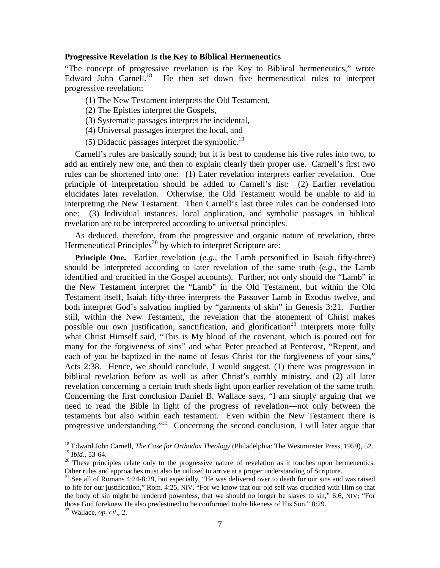#### **Progressive Revelation Is the Key to Biblical Hermeneutics**

"The concept of progressive revelation is the Key to Biblical hermeneutics," wrote Edward John Carnell.<sup>18</sup> He then set down five hermeneutical rules to interpret progressive revelation:

- (1) The New Testament interprets the Old Testament,
- (2) The Epistles interpret the Gospels,
- (3) Systematic passages interpret the incidental,
- (4) Universal passages interpret the local, and
- (5) Didactic passages interpret the symbolic.<sup>19</sup>

Carnell's rules are basically sound; but it is best to condense his five rules into two, to add an entirely new one, and then to explain clearly their proper use. Carnell's first two rules can be shortened into one: (1) Later revelation interprets earlier revelation. One principle of interpretation should be added to Carnell's list: (2) Earlier revelation elucidates later revelation. Otherwise, the Old Testament would be unable to aid in interpreting the New Testament. Then Carnell's last three rules can be condensed into one: (3) Individual instances, local application, and symbolic passages in biblical revelation are to be interpreted according to universal principles.

As deduced, therefore, from the progressive and organic nature of revelation, three Hermeneutical Principles<sup>20</sup> by which to interpret Scripture are:

**Principle One.** Earlier revelation (*e.g.*, the Lamb personified in Isaiah fifty-three) should be interpreted according to later revelation of the same truth (*e.g.*, the Lamb identified and crucified in the Gospel accounts). Further, not only should the "Lamb" in the New Testament interpret the "Lamb" in the Old Testament, but within the Old Testament itself, Isaiah fifty-three interprets the Passover Lamb in Exodus twelve, and both interpret God's salvation implied by "garments of skin" in Genesis 3:21. Further still, within the New Testament, the revelation that the atonement of Christ makes possible our own justification, sanctification, and glorification<sup>21</sup> interprets more fully what Christ Himself said, "This is My blood of the covenant, which is poured out for many for the forgiveness of sins" and what Peter preached at Pentecost, "Repent, and each of you be baptized in the name of Jesus Christ for the forgiveness of your sins," Acts 2:38. Hence, we should conclude, I would suggest, (1) there was progression in biblical revelation before as well as after Christ's earthly ministry, and (2) all later revelation concerning a certain truth sheds light upon earlier revelation of the same truth. Concerning the first conclusion Daniel B. Wallace says, "I am simply arguing that we need to read the Bible in light of the progress of revelation—not only between the testaments but also within each testament. Even within the New Testament there is progressive understanding."<sup>22</sup> Concerning the second conclusion, I will later argue that

<sup>&</sup>lt;sup>18</sup> Edward John Carnell, *The Case for Orthodox Theology* (Philadelphia: The Westminster Press, 1959), 52.<br><sup>19</sup> Ibid., 53-64.

<sup>&</sup>lt;sup>20</sup> These principles relate only to the progressive nature of revelation as it touches upon hermeneutics. Other rules and approaches must also be utilized to arrive at a proper understanding of Scripture.

<sup>&</sup>lt;sup>21</sup> See all of Romans 4:24-8:29, but especially, "He was delivered over to death for our sins and was raised to life for our justification," Rom. 4:25, NIV; "For we know that our old self was crucified with Him so that the body of sin might be rendered powerless, that we should no longer be slaves to sin," 6:6, NIV; "For those God foreknew He also predestined to be conformed to the likeness of His Son," 8:29.

<sup>22</sup> Wallace, *op. cit*., 2.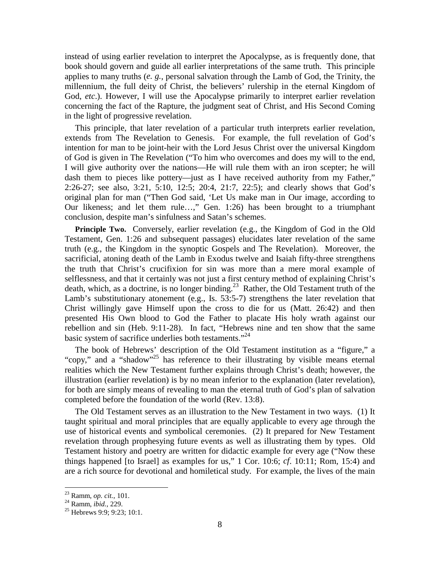instead of using earlier revelation to interpret the Apocalypse, as is frequently done, that book should govern and guide all earlier interpretations of the same truth. This principle applies to many truths (*e. g.*, personal salvation through the Lamb of God, the Trinity, the millennium, the full deity of Christ, the believers' rulership in the eternal Kingdom of God, *etc*.). However, I will use the Apocalypse primarily to interpret earlier revelation concerning the fact of the Rapture, the judgment seat of Christ, and His Second Coming in the light of progressive revelation.

This principle, that later revelation of a particular truth interprets earlier revelation, extends from The Revelation to Genesis. For example, the full revelation of God's intention for man to be joint-heir with the Lord Jesus Christ over the universal Kingdom of God is given in The Revelation ("To him who overcomes and does my will to the end, I will give authority over the nations—He will rule them with an iron scepter; he will dash them to pieces like pottery—just as I have received authority from my Father," 2:26-27; see also, 3:21, 5:10, 12:5; 20:4, 21:7, 22:5); and clearly shows that God's original plan for man ("Then God said, 'Let Us make man in Our image, according to Our likeness; and let them rule…," Gen. 1:26) has been brought to a triumphant conclusion, despite man's sinfulness and Satan's schemes.

**Principle Two.** Conversely, earlier revelation (e.g., the Kingdom of God in the Old Testament, Gen. 1:26 and subsequent passages) elucidates later revelation of the same truth (e.g., the Kingdom in the synoptic Gospels and The Revelation). Moreover, the sacrificial, atoning death of the Lamb in Exodus twelve and Isaiah fifty-three strengthens the truth that Christ's crucifixion for sin was more than a mere moral example of selflessness, and that it certainly was not just a first century method of explaining Christ's death, which, as a doctrine, is no longer binding.<sup>23</sup> Rather, the Old Testament truth of the Lamb's substitutionary atonement (e.g., Is. 53:5-7) strengthens the later revelation that Christ willingly gave Himself upon the cross to die for us (Matt. 26:42) and then presented His Own blood to God the Father to placate His holy wrath against our rebellion and sin (Heb. 9:11-28). In fact, "Hebrews nine and ten show that the same basic system of sacrifice underlies both testaments."<sup>24</sup>

The book of Hebrews' description of the Old Testament institution as a "figure," a "copy," and a "shadow"25 has reference to their illustrating by visible means eternal realities which the New Testament further explains through Christ's death; however, the illustration (earlier revelation) is by no mean inferior to the explanation (later revelation), for both are simply means of revealing to man the eternal truth of God's plan of salvation completed before the foundation of the world (Rev. 13:8).

The Old Testament serves as an illustration to the New Testament in two ways. (1) It taught spiritual and moral principles that are equally applicable to every age through the use of historical events and symbolical ceremonies. (2) It prepared for New Testament revelation through prophesying future events as well as illustrating them by types. Old Testament history and poetry are written for didactic example for every age ("Now these things happened [to Israel] as examples for us," 1 Cor. 10:6; *cf*. 10:11; Rom, 15:4) and are a rich source for devotional and homiletical study. For example, the lives of the main

<sup>&</sup>lt;sup>23</sup> Ramm, *op. cit.*, 101.<br><sup>24</sup> Ramm, *ibid.*, 229.<br><sup>25</sup> Hebrews 9:9; 9:23; 10:1.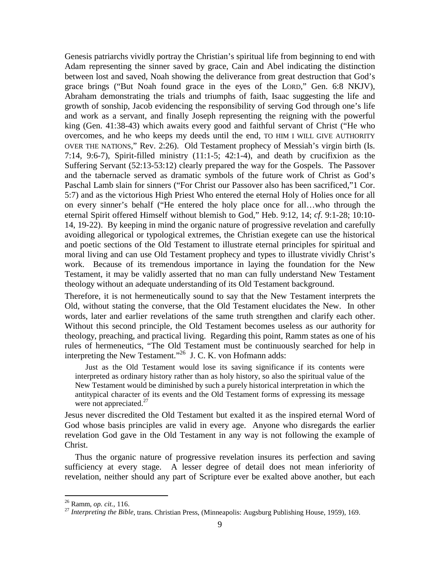Genesis patriarchs vividly portray the Christian's spiritual life from beginning to end with Adam representing the sinner saved by grace, Cain and Abel indicating the distinction between lost and saved, Noah showing the deliverance from great destruction that God's grace brings ("But Noah found grace in the eyes of the LORD," Gen. 6:8 NKJV), Abraham demonstrating the trials and triumphs of faith, Isaac suggesting the life and growth of sonship, Jacob evidencing the responsibility of serving God through one's life and work as a servant, and finally Joseph representing the reigning with the powerful king (Gen. 41:38-43) which awaits every good and faithful servant of Christ ("He who overcomes, and he who keeps my deeds until the end, TO HIM I WILL GIVE AUTHORITY OVER THE NATIONS," Rev. 2:26). Old Testament prophecy of Messiah's virgin birth (Is. 7:14, 9:6-7), Spirit-filled ministry  $(11:1-5; 42:1-4)$ , and death by crucifixion as the Suffering Servant (52:13-53:12) clearly prepared the way for the Gospels. The Passover and the tabernacle served as dramatic symbols of the future work of Christ as God's Paschal Lamb slain for sinners ("For Christ our Passover also has been sacrificed,"1 Cor. 5:7) and as the victorious High Priest Who entered the eternal Holy of Holies once for all on every sinner's behalf ("He entered the holy place once for all…who through the eternal Spirit offered Himself without blemish to God," Heb. 9:12, 14; *cf*. 9:1-28; 10:10- 14, 19-22). By keeping in mind the organic nature of progressive revelation and carefully avoiding allegorical or typological extremes, the Christian exegete can use the historical and poetic sections of the Old Testament to illustrate eternal principles for spiritual and moral living and can use Old Testament prophecy and types to illustrate vividly Christ's work. Because of its tremendous importance in laying the foundation for the New Testament, it may be validly asserted that no man can fully understand New Testament theology without an adequate understanding of its Old Testament background.

Therefore, it is not hermeneutically sound to say that the New Testament interprets the Old, without stating the converse, that the Old Testament elucidates the New. In other words, later and earlier revelations of the same truth strengthen and clarify each other. Without this second principle, the Old Testament becomes useless as our authority for theology, preaching, and practical living. Regarding this point, Ramm states as one of his rules of hermeneutics, "The Old Testament must be continuously searched for help in interpreting the New Testament."<sup>26</sup> J. C. K. von Hofmann adds:

Just as the Old Testament would lose its saving significance if its contents were interpreted as ordinary history rather than as holy history, so also the spiritual value of the New Testament would be diminished by such a purely historical interpretation in which the antitypical character of its events and the Old Testament forms of expressing its message were not appreciated.<sup>27</sup>

Jesus never discredited the Old Testament but exalted it as the inspired eternal Word of God whose basis principles are valid in every age. Anyone who disregards the earlier revelation God gave in the Old Testament in any way is not following the example of Christ.

Thus the organic nature of progressive revelation insures its perfection and saving sufficiency at every stage. A lesser degree of detail does not mean inferiority of revelation, neither should any part of Scripture ever be exalted above another, but each

<sup>26</sup> Ramm, *op. cit.*, 116. 27 *Interpreting the Bible*, trans. Christian Press, (Minneapolis: Augsburg Publishing House, 1959), 169.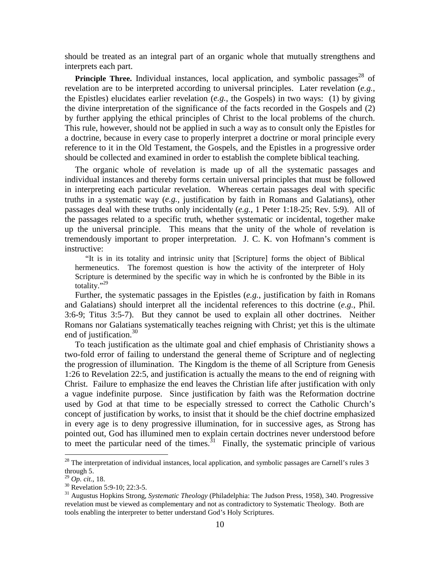should be treated as an integral part of an organic whole that mutually strengthens and interprets each part.

**Principle Three.** Individual instances, local application, and symbolic passages<sup>28</sup> of revelation are to be interpreted according to universal principles. Later revelation (*e.g.*, the Epistles) elucidates earlier revelation (*e.g.*, the Gospels) in two ways: (1) by giving the divine interpretation of the significance of the facts recorded in the Gospels and (2) by further applying the ethical principles of Christ to the local problems of the church. This rule, however, should not be applied in such a way as to consult only the Epistles for a doctrine, because in every case to properly interpret a doctrine or moral principle every reference to it in the Old Testament, the Gospels, and the Epistles in a progressive order should be collected and examined in order to establish the complete biblical teaching.

The organic whole of revelation is made up of all the systematic passages and individual instances and thereby forms certain universal principles that must be followed in interpreting each particular revelation. Whereas certain passages deal with specific truths in a systematic way (*e.g.*, justification by faith in Romans and Galatians), other passages deal with these truths only incidentally (*e.g.*, 1 Peter 1:18-25; Rev. 5:9). All of the passages related to a specific truth, whether systematic or incidental, together make up the universal principle. This means that the unity of the whole of revelation is tremendously important to proper interpretation. J. C. K. von Hofmann's comment is instructive:

"It is in its totality and intrinsic unity that [Scripture] forms the object of Biblical hermeneutics. The foremost question is how the activity of the interpreter of Holy Scripture is determined by the specific way in which he is confronted by the Bible in its totality."<sup>29</sup>

Further, the systematic passages in the Epistles (*e.g.*, justification by faith in Romans and Galatians) should interpret all the incidental references to this doctrine (*e.g.*, Phil. 3:6-9; Titus 3:5-7). But they cannot be used to explain all other doctrines. Neither Romans nor Galatians systematically teaches reigning with Christ; yet this is the ultimate end of justification.<sup>30</sup>

To teach justification as the ultimate goal and chief emphasis of Christianity shows a two-fold error of failing to understand the general theme of Scripture and of neglecting the progression of illumination. The Kingdom is the theme of all Scripture from Genesis 1:26 to Revelation 22:5, and justification is actually the means to the end of reigning with Christ. Failure to emphasize the end leaves the Christian life after justification with only a vague indefinite purpose. Since justification by faith was the Reformation doctrine used by God at that time to be especially stressed to correct the Catholic Church's concept of justification by works, to insist that it should be the chief doctrine emphasized in every age is to deny progressive illumination, for in successive ages, as Strong has pointed out, God has illumined men to explain certain doctrines never understood before to meet the particular need of the times.<sup>31</sup> Finally, the systematic principle of various

 $2<sup>28</sup>$  The interpretation of individual instances, local application, and symbolic passages are Carnell's rules 3 through 5.<br> $^{29}$  Op. cit., 18.

<sup>&</sup>lt;sup>30</sup> Revelation 5:9-10: 22:3-5.

<sup>31</sup> Augustus Hopkins Strong, *Systematic Theology* (Philadelphia: The Judson Press, 1958), 340. Progressive revelation must be viewed as complementary and not as contradictory to Systematic Theology. Both are tools enabling the interpreter to better understand God's Holy Scriptures.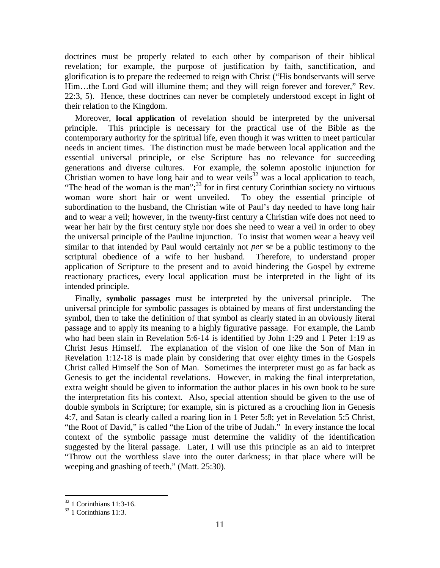doctrines must be properly related to each other by comparison of their biblical revelation; for example, the purpose of justification by faith, sanctification, and glorification is to prepare the redeemed to reign with Christ ("His bondservants will serve Him…the Lord God will illumine them; and they will reign forever and forever," Rev. 22:3, 5). Hence, these doctrines can never be completely understood except in light of their relation to the Kingdom.

Moreover, **local application** of revelation should be interpreted by the universal principle. This principle is necessary for the practical use of the Bible as the contemporary authority for the spiritual life, even though it was written to meet particular needs in ancient times. The distinction must be made between local application and the essential universal principle, or else Scripture has no relevance for succeeding generations and diverse cultures. For example, the solemn apostolic injunction for Christian women to have long hair and to wear veils<sup>32</sup> was a local application to teach, "The head of the woman is the man"; $^{33}$  for in first century Corinthian society no virtuous woman wore short hair or went unveiled. To obey the essential principle of subordination to the husband, the Christian wife of Paul's day needed to have long hair and to wear a veil; however, in the twenty-first century a Christian wife does not need to wear her hair by the first century style nor does she need to wear a veil in order to obey the universal principle of the Pauline injunction. To insist that women wear a heavy veil similar to that intended by Paul would certainly not *per se* be a public testimony to the scriptural obedience of a wife to her husband. Therefore, to understand proper application of Scripture to the present and to avoid hindering the Gospel by extreme reactionary practices, every local application must be interpreted in the light of its intended principle.

Finally, **symbolic passages** must be interpreted by the universal principle. The universal principle for symbolic passages is obtained by means of first understanding the symbol, then to take the definition of that symbol as clearly stated in an obviously literal passage and to apply its meaning to a highly figurative passage. For example, the Lamb who had been slain in Revelation 5:6-14 is identified by John 1:29 and 1 Peter 1:19 as Christ Jesus Himself. The explanation of the vision of one like the Son of Man in Revelation 1:12-18 is made plain by considering that over eighty times in the Gospels Christ called Himself the Son of Man. Sometimes the interpreter must go as far back as Genesis to get the incidental revelations. However, in making the final interpretation, extra weight should be given to information the author places in his own book to be sure the interpretation fits his context. Also, special attention should be given to the use of double symbols in Scripture; for example, sin is pictured as a crouching lion in Genesis 4:7, and Satan is clearly called a roaring lion in 1 Peter 5:8; yet in Revelation 5:5 Christ, "the Root of David," is called "the Lion of the tribe of Judah." In every instance the local context of the symbolic passage must determine the validity of the identification suggested by the literal passage. Later, I will use this principle as an aid to interpret "Throw out the worthless slave into the outer darkness; in that place where will be weeping and gnashing of teeth," (Matt. 25:30).

 $32$  1 Corinthians 11:3-16.

<sup>&</sup>lt;sup>33</sup> 1 Corinthians 11:3.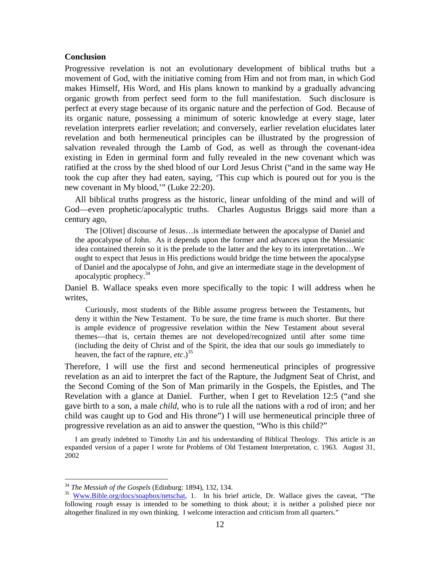## **Conclusion**

Progressive revelation is not an evolutionary development of biblical truths but a movement of God, with the initiative coming from Him and not from man, in which God makes Himself, His Word, and His plans known to mankind by a gradually advancing organic growth from perfect seed form to the full manifestation. Such disclosure is perfect at every stage because of its organic nature and the perfection of God. Because of its organic nature, possessing a minimum of soteric knowledge at every stage, later revelation interprets earlier revelation; and conversely, earlier revelation elucidates later revelation and both hermeneutical principles can be illustrated by the progression of salvation revealed through the Lamb of God, as well as through the covenant-idea existing in Eden in germinal form and fully revealed in the new covenant which was ratified at the cross by the shed blood of our Lord Jesus Christ ("and in the same way He took the cup after they had eaten, saying, 'This cup which is poured out for you is the new covenant in My blood,'" (Luke 22:20).

All biblical truths progress as the historic, linear unfolding of the mind and will of God—even prophetic/apocalyptic truths. Charles Augustus Briggs said more than a century ago,

The [Olivet] discourse of Jesus…is intermediate between the apocalypse of Daniel and the apocalypse of John. As it depends upon the former and advances upon the Messianic idea contained therein so it is the prelude to the latter and the key to its interpretation…We ought to expect that Jesus in His predictions would bridge the time between the apocalypse of Daniel and the apocalypse of John, and give an intermediate stage in the development of apocalyptic prophecy.<sup>34</sup>

Daniel B. Wallace speaks even more specifically to the topic I will address when he writes,

Curiously, most students of the Bible assume progress between the Testaments, but deny it within the New Testament. To be sure, the time frame is much shorter. But there is ample evidence of progressive revelation within the New Testament about several themes—that is, certain themes are not developed/recognized until after some time (including the deity of Christ and of the Spirit, the idea that our souls go immediately to heaven, the fact of the rapture,  $etc.$ )<sup>35</sup>

Therefore, I will use the first and second hermeneutical principles of progressive revelation as an aid to interpret the fact of the Rapture, the Judgment Seat of Christ, and the Second Coming of the Son of Man primarily in the Gospels, the Epistles, and The Revelation with a glance at Daniel. Further, when I get to Revelation 12:5 ("and she gave birth to a son, a male *child*, who is to rule all the nations with a rod of iron; and her child was caught up to God and His throne") I will use hermeneutical principle three of progressive revelation as an aid to answer the question, "Who is this child?"

I am greatly indebted to Timothy Lin and his understanding of Biblical Theology. This article is an expanded version of a paper I wrote for Problems of Old Testament Interpretation, c. 1963. August 31, 2002

<sup>&</sup>lt;sup>34</sup> *The Messiah of the Gospels* (Edinburg: 1894), 132, 134.<br><sup>35</sup> Www.Bible.org/docs/soapbox/netschat, 1. In his brief article, Dr. Wallace gives the caveat, "The following *rough* essay is intended to be something to think about; it is neither a polished piece nor altogether finalized in my own thinking. I welcome interaction and criticism from all quarters."